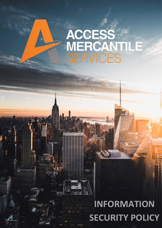## ACCESS<br>MERCANT<br>SERVICES  $\sqrt{2}$

## eraini m.<br>Martin Santon Andrew Street (1986)<br>Martin Schwarz (1986) **SECURITY POLICY INFORMATION**